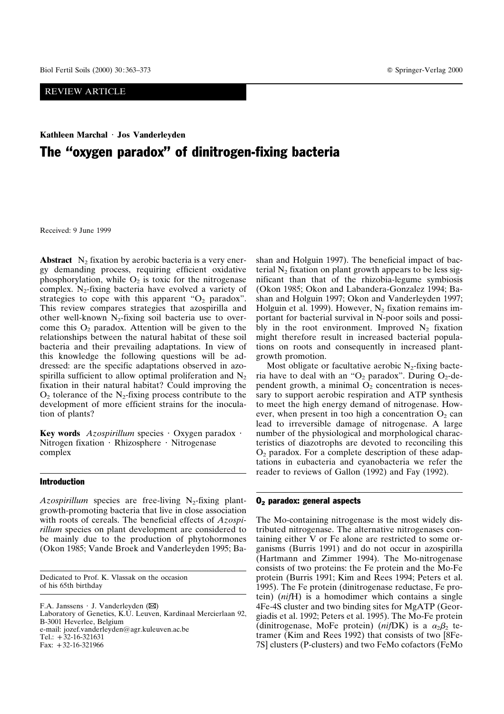# REVIEW ARTICLE

# **Kathleen Marchal** 7 **Jos Vanderleyden** The "oxygen paradox" of dinitrogen-fixing bacteria

Received: 9 June 1999

**Abstract**  $N_2$  fixation by aerobic bacteria is a very energy demanding process, requiring efficient oxidative phosphorylation, while  $O_2$  is toxic for the nitrogenase complex. N<sub>2</sub>-fixing bacteria have evolved a variety of strategies to cope with this apparent " $O<sub>2</sub>$  paradox". This review compares strategies that azospirilla and other well-known  $N_2$ -fixing soil bacteria use to overcome this  $O_2$  paradox. Attention will be given to the relationships between the natural habitat of these soil bacteria and their prevailing adaptations. In view of this knowledge the following questions will be addressed: are the specific adaptations observed in azospirilla sufficient to allow optimal proliferation and  $N_2$ fixation in their natural habitat? Could improving the  $O_2$  tolerance of the N<sub>2</sub>-fixing process contribute to the development of more efficient strains for the inoculation of plants?

**Key words**  $Azospirillum$  species  $\cdot$  Oxygen paradox  $\cdot$ Nitrogen fixation  $\cdot$  Rhizosphere  $\cdot$  Nitrogenase complex

#### Introduction

*Azospirillum* species are free-living  $N_2$ -fixing plantgrowth-promoting bacteria that live in close association with roots of cereals. The beneficial effects of *Azospirillum* species on plant development are considered to be mainly due to the production of phytohormones (Okon 1985; Vande Broek and Vanderleyden 1995; Ba-

Dedicated to Prof. K. Vlassak on the occasion of his 65th birthday

F.A. Janssens  $\cdot$  J. Vanderleyden ( $\boxtimes$ ) Laboratory of Genetics, K.U. Leuven, Kardinaal Mercierlaan 92, B-3001 Heverlee, Belgium e-mail: jozef.vanderleyden@agr.kuleuven.ac.be Tel.:  $+32-16-321631$ Fax:  $+32-16-321966$ 

shan and Holguin 1997). The beneficial impact of bacterial  $N_2$  fixation on plant growth appears to be less significant than that of the rhizobia-legume symbiosis (Okon 1985; Okon and Labandera-Gonzalez 1994; Bashan and Holguin 1997; Okon and Vanderleyden 1997; Holguin et al. 1999). However,  $N_2$  fixation remains important for bacterial survival in N-poor soils and possibly in the root environment. Improved  $N_2$  fixation might therefore result in increased bacterial populations on roots and consequently in increased plantgrowth promotion.

Most obligate or facultative aerobic  $N_2$ -fixing bacteria have to deal with an " $O_2$  paradox". During  $O_2$ -dependent growth, a minimal  $O<sub>2</sub>$  concentration is necessary to support aerobic respiration and ATP synthesis to meet the high energy demand of nitrogenase. However, when present in too high a concentration  $O_2$  can lead to irreversible damage of nitrogenase. A large number of the physiological and morphological characteristics of diazotrophs are devoted to reconciling this  $O<sub>2</sub>$  paradox. For a complete description of these adaptations in eubacteria and cyanobacteria we refer the reader to reviews of Gallon (1992) and Fay (1992).

#### O2 paradox: general aspects

The Mo-containing nitrogenase is the most widely distributed nitrogenase. The alternative nitrogenases containing either V or Fe alone are restricted to some organisms (Burris 1991) and do not occur in azospirilla (Hartmann and Zimmer 1994). The Mo-nitrogenase consists of two proteins: the Fe protein and the Mo-Fe protein (Burris 1991; Kim and Rees 1994; Peters et al. 1995). The Fe protein (dinitrogenase reductase, Fe protein) (*nif*H) is a homodimer which contains a single 4Fe-4S cluster and two binding sites for MgATP (Georgiadis et al. 1992; Peters et al. 1995). The Mo-Fe protein (dinitrogenase, MoFe protein) ( $ni fDK$ ) is a  $\alpha_2\beta_2$  tetramer (Kim and Rees 1992) that consists of two [8Fe-7S] clusters (P-clusters) and two FeMo cofactors (FeMo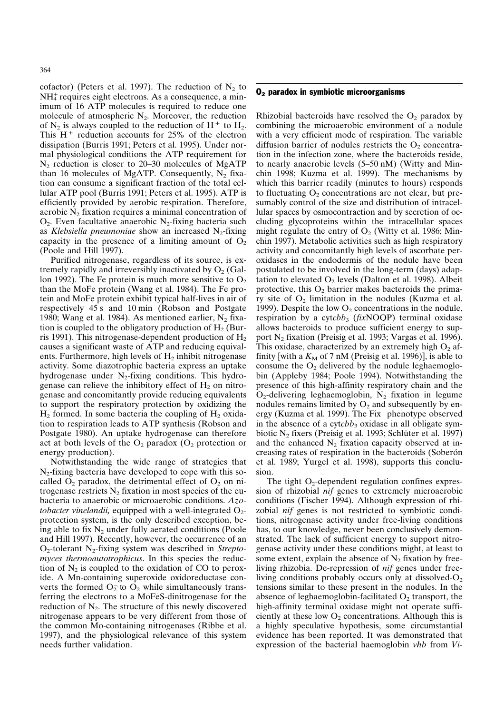cofactor) (Peters et al. 1997). The reduction of  $N_2$  to NH<sup>+</sup> requires eight electrons. As a consequence, a minimum of 16 ATP molecules is required to reduce one molecule of atmospheric  $N_2$ . Moreover, the reduction of  $N_2$  is always coupled to the reduction of H<sup>+</sup> to H<sub>2</sub>. This  $H^+$  reduction accounts for 25% of the electron dissipation (Burris 1991; Peters et al. 1995). Under normal physiological conditions the ATP requirement for  $N_2$  reduction is closer to 20–30 molecules of MgATP than 16 molecules of MgATP. Consequently,  $N_2$  fixation can consume a significant fraction of the total cellular ATP pool (Burris 1991; Peters et al. 1995). ATP is efficiently provided by aerobic respiration. Therefore, aerobic  $N_2$  fixation requires a minimal concentration of  $O_2$ . Even facultative anaerobic N<sub>2</sub>-fixing bacteria such as *Klebsiella pneumoniae* show an increased  $N_2$ -fixing capacity in the presence of a limiting amount of  $O<sub>2</sub>$ (Poole and Hill 1997).

Purified nitrogenase, regardless of its source, is extremely rapidly and irreversibly inactivated by  $O_2$  (Gallon 1992). The Fe protein is much more sensitive to  $O_2$ than the MoFe protein (Wang et al. 1984). The Fe protein and MoFe protein exhibit typical half-lives in air of respectively 45 s and 10 min (Robson and Postgate 1980; Wang et al. 1984). As mentioned earlier,  $N_2$  fixation is coupled to the obligatory production of  $H_2$  (Burris 1991). This nitrogenase-dependent production of  $H_2$ causes a significant waste of ATP and reducing equivalents. Furthermore, high levels of  $H_2$  inhibit nitrogenase activity. Some diazotrophic bacteria express an uptake hydrogenase under  $N_2$ -fixing conditions. This hydrogenase can relieve the inhibitory effect of  $H_2$  on nitrogenase and concomitantly provide reducing equivalents to support the respiratory protection by oxidizing the  $H_2$  formed. In some bacteria the coupling of  $H_2$  oxidation to respiration leads to ATP synthesis (Robson and Postgate 1980). An uptake hydrogenase can therefore act at both levels of the  $O_2$  paradox  $(O_2)$  protection or energy production).

Notwithstanding the wide range of strategies that  $N<sub>2</sub>$ -fixing bacteria have developed to cope with this socalled  $O_2$  paradox, the detrimental effect of  $O_2$  on nitrogenase restricts  $N_2$  fixation in most species of the eubacteria to anaerobic or microaerobic conditions. *Azotobacter vinelandii,* equipped with a well-integrated  $O_2$ protection system, is the only described exception, being able to fix  $N_2$  under fully aerated conditions (Poole and Hill 1997). Recently, however, the occurrence of an O2-tolerant N2-fixing system was described in *Streptomyces thermoautotrophicus*. In this species the reduction of  $N<sub>2</sub>$  is coupled to the oxidation of CO to peroxide. A Mn-containing superoxide oxidoreductase converts the formed  $O_2$  to  $O_2$  while simultaneously transferring the electrons to a MoFeS-dinitrogenase for the reduction of  $N_2$ . The structure of this newly discovered nitrogenase appears to be very different from those of the common Mo-containing nitrogenases (Ribbe et al. 1997), and the physiological relevance of this system needs further validation.

#### $O<sub>2</sub>$  paradox in symbiotic microorganisms

Rhizobial bacteroids have resolved the  $O_2$  paradox by combining the microaerobic environment of a nodule with a very efficient mode of respiration. The variable diffusion barrier of nodules restricts the  $O<sub>2</sub>$  concentration in the infection zone, where the bacteroids reside, to nearly anaerobic levels (5–50 nM) (Witty and Minchin 1998; Kuzma et al. 1999). The mechanisms by which this barrier readily (minutes to hours) responds to fluctuating  $O_2$  concentrations are not clear, but presumably control of the size and distribution of intracellular spaces by osmocontraction and by secretion of occluding glycoproteins within the intracellular spaces might regulate the entry of  $O_2$  (Witty et al. 1986; Minchin 1997). Metabolic activities such as high respiratory activity and concomitantly high levels of ascorbate peroxidases in the endodermis of the nodule have been postulated to be involved in the long-term (days) adaptation to elevated  $O_2$  levels (Dalton et al. 1998). Albeit protective, this  $O_2$  barrier makes bacteroids the primary site of  $O_2$  limitation in the nodules (Kuzma et al. 1999). Despite the low  $O_2$  concentrations in the nodule, respiration by a cytcbb<sub>3</sub> (*fix*NOQP) terminal oxidase allows bacteroids to produce sufficient energy to support N2 fixation (Preisig et al. 1993; Vargas et al. 1996). This oxidase, characterized by an extremely high  $O_2$  affinity [with a  $K_M$  of 7 nM (Preisig et al. 1996)], is able to consume the  $O_2$  delivered by the nodule leghaemoglobin (Appleby 1984; Poole 1994). Notwithstanding the presence of this high-affinity respiratory chain and the  $O_2$ -delivering leghaemoglobin,  $N_2$  fixation in legume nodules remains limited by  $O_2$  and subsequently by energy (Kuzma et al. 1999). The Fix– phenotype observed in the absence of a cytcb $b_3$  oxidase in all obligate symbiotic  $N_2$  fixers (Preisig et al. 1993; Schlüter et al. 1997) and the enhanced  $N_2$  fixation capacity observed at increasing rates of respiration in the bacteroids (Soberón et al. 1989; Yurgel et al. 1998), supports this conclusion.

The tight  $O_2$ -dependent regulation confines expression of rhizobial *nif* genes to extremely microaerobic conditions (Fischer 1994). Although expression of rhizobial *nif* genes is not restricted to symbiotic conditions, nitrogenase activity under free-living conditions has, to our knowledge, never been conclusively demonstrated. The lack of sufficient energy to support nitrogenase activity under these conditions might, at least to some extent, explain the absence of  $N_2$  fixation by freeliving rhizobia. De-repression of *nif* genes under freeliving conditions probably occurs only at dissolved- $O_2$ tensions similar to these present in the nodules. In the absence of leghaemoglobin-facilitated  $O_2$  transport, the high-affinity terminal oxidase might not operate sufficiently at these low  $O_2$  concentrations. Although this is a highly speculative hypothesis, some circumstantial evidence has been reported. It was demonstrated that expression of the bacterial haemoglobin *vhb* from *Vi-*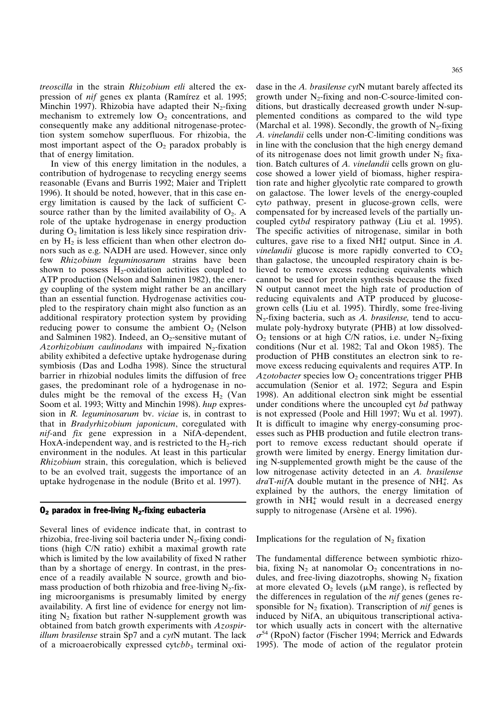*treoscilla* in the strain *Rhizobium etli* altered the expression of *nif* genes ex planta (Ramírez et al. 1995; Minchin 1997). Rhizobia have adapted their  $N_2$ -fixing mechanism to extremely low  $O<sub>2</sub>$  concentrations, and consequently make any additional nitrogenase-protection system somehow superfluous. For rhizobia, the most important aspect of the  $O_2$  paradox probably is that of energy limitation.

In view of this energy limitation in the nodules, a contribution of hydrogenase to recycling energy seems reasonable (Evans and Burris 1992; Maier and Triplett 1996). It should be noted, however, that in this case energy limitation is caused by the lack of sufficient Csource rather than by the limited availability of  $O_2$ . A role of the uptake hydrogenase in energy production during  $O_2$  limitation is less likely since respiration driven by  $H_2$  is less efficient than when other electron donors such as e.g. NADH are used. However, since only few *Rhizobium leguminosarum* strains have been shown to possess  $H_2$ -oxidation activities coupled to ATP production (Nelson and Salminen 1982), the energy coupling of the system might rather be an ancillary than an essential function. Hydrogenase activities coupled to the respiratory chain might also function as an additional respiratory protection system by providing reducing power to consume the ambient  $O_2$  (Nelson and Salminen 1982). Indeed, an  $O<sub>2</sub>$ -sensitive mutant of *Azorhizobium caulinodans* with impaired N<sub>2</sub>-fixation ability exhibited a defective uptake hydrogenase during symbiosis (Das and Lodha 1998). Since the structural barrier in rhizobial nodules limits the diffusion of free gases, the predominant role of a hydrogenase in nodules might be the removal of the excess  $H_2$  (Van Soom et al. 1993; Witty and Minchin 1998). *hup* expression in *R. leguminosarum* bv. *viciae* is, in contrast to that in *Bradyrhizobium japonicum*, coregulated with *nif*-and *fix* gene expression in a NifA-dependent, HoxA-independent way, and is restricted to the  $H_2$ -rich environment in the nodules. At least in this particular *Rhizobium* strain, this coregulation, which is believed to be an evolved trait, suggests the importance of an uptake hydrogenase in the nodule (Brito et al. 1997).

### $O<sub>2</sub>$  paradox in free-living N<sub>2</sub>-fixing eubacteria

Several lines of evidence indicate that, in contrast to rhizobia, free-living soil bacteria under  $N_2$ -fixing conditions (high C/N ratio) exhibit a maximal growth rate which is limited by the low availability of fixed N rather than by a shortage of energy. In contrast, in the presence of a readily available N source, growth and biomass production of both rhizobia and free-living  $N_2$ -fixing microorganisms is presumably limited by energy availability. A first line of evidence for energy not limiting  $N_2$  fixation but rather N-supplement growth was obtained from batch growth experiments with *Azospirillum brasilense* strain Sp7 and a *cyt*N mutant. The lack of a microaerobically expressed cytcbb<sub>3</sub> terminal oxidase in the *A. brasilense cyt*N mutant barely affected its growth under  $N_2$ -fixing and non-C-source-limited conditions, but drastically decreased growth under N-supplemented conditions as compared to the wild type (Marchal et al. 1998). Secondly, the growth of  $N_2$ -fixing *A. vinelandii* cells under non-C-limiting conditions was in line with the conclusion that the high energy demand of its nitrogenase does not limit growth under  $N_2$  fixation. Batch cultures of *A. vinelandii* cells grown on glucose showed a lower yield of biomass, higher respiration rate and higher glycolytic rate compared to growth on galactose. The lower levels of the energy-coupled cyt*o* pathway, present in glucose-grown cells, were compensated for by increased levels of the partially uncoupled cyt*bd* respiratory pathway (Liu et al. 1995). The specific activities of nitrogenase, similar in both cultures, gave rise to a fixed  $NH<sub>4</sub><sup>+</sup>$  output. Since in A. *vinelandii* glucose is more rapidly converted to  $CO<sub>2</sub>$ than galactose, the uncoupled respiratory chain is believed to remove excess reducing equivalents which cannot be used for protein synthesis because the fixed N output cannot meet the high rate of production of reducing equivalents and ATP produced by glucosegrown cells (Liu et al. 1995). Thirdly, some free-living N2-fixing bacteria, such as *A. brasilense,* tend to accumulate poly-hydroxy butyrate (PHB) at low dissolved- $O_2$  tensions or at high C/N ratios, i.e. under N<sub>2</sub>-fixing conditions (Nur et al. 1982; Tal and Okon 1985). The production of PHB constitutes an electron sink to remove excess reducing equivalents and requires ATP. In Azotobacter species low  $O_2$  concentrations trigger PHB accumulation (Senior et al. 1972; Segura and Espin 1998). An additional electron sink might be essential under conditions where the uncoupled cyt *bd* pathway is not expressed (Poole and Hill 1997; Wu et al. 1997). It is difficult to imagine why energy-consuming processes such as PHB production and futile electron transport to remove excess reductant should operate if growth were limited by energy. Energy limitation during N-supplemented growth might be the cause of the low nitrogenase activity detected in an *A. brasilense* draT-nifA double mutant in the presence of NH<sup>+</sup>. As explained by the authors, the energy limitation of growth in  $NH<sub>4</sub><sup>+</sup>$  would result in a decreased energy supply to nitrogenase (Arsène et al. 1996).

Implications for the regulation of  $N_2$  fixation

The fundamental difference between symbiotic rhizobia, fixing  $N_2$  at nanomolar  $O_2$  concentrations in nodules, and free-living diazotrophs, showing  $N_2$  fixation at more elevated  $O_2$  levels ( $\mu$ M range), is reflected by the differences in regulation of the *nif* genes (genes responsible for  $N_2$  fixation). Transcription of *nif* genes is induced by NifA, an ubiquitous transcriptional activator which usually acts in concert with the alternative  $\sigma^{54}$  (RpoN) factor (Fischer 1994; Merrick and Edwards 1995). The mode of action of the regulator protein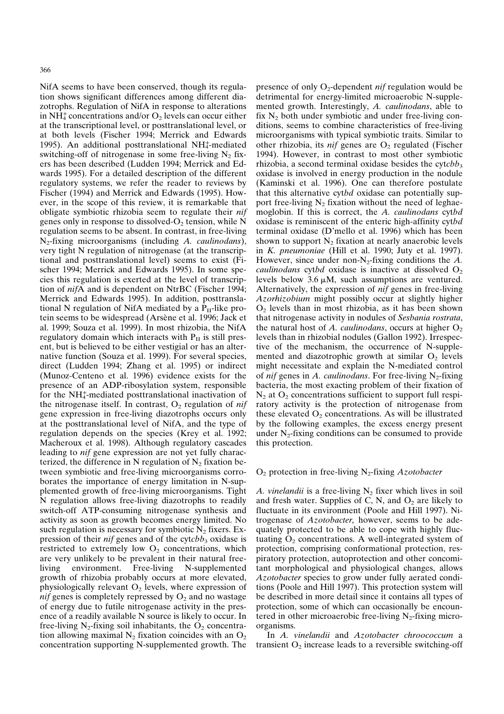NifA seems to have been conserved, though its regulation shows significant differences among different diazotrophs. Regulation of NifA in response to alterations in NH<sub>4</sub><sup>+</sup> concentrations and/or O<sub>2</sub> levels can occur either at the transcriptional level, or posttranslational level, or at both levels (Fischer 1994; Merrick and Edwards 1995). An additional posttranslational NH<sup>+</sup>-mediated switching-off of nitrogenase in some free-living  $N_2$  fixers has been described (Ludden 1994; Merrick and Edwards 1995). For a detailed description of the different regulatory systems, we refer the reader to reviews by Fischer (1994) and Merrick and Edwards (1995). However, in the scope of this review, it is remarkable that obligate symbiotic rhizobia seem to regulate their *nif* genes only in response to dissolved- $O_2$  tension, while N regulation seems to be absent. In contrast, in free-living N2-fixing microorganisms (including *A. caulinodans*), very tight N regulation of nitrogenase (at the transcriptional and posttranslational level) seems to exist (Fischer 1994; Merrick and Edwards 1995). In some species this regulation is exerted at the level of transcription of *nif*A and is dependent on NtrBC (Fischer 1994; Merrick and Edwards 1995). In addition, posttranslational N regulation of NifA mediated by a  $P_{II}$ -like protein seems to be widespread (Arsène et al. 1996; Jack et al. 1999; Souza et al. 1999). In most rhizobia, the NifA regulatory domain which interacts with  $P_{II}$  is still present, but is believed to be either vestigial or has an alternative function (Souza et al. 1999). For several species, direct (Ludden 1994; Zhang et al. 1995) or indirect (Munoz-Centeno et al. 1996) evidence exists for the presence of an ADP-ribosylation system, responsible for the NH<sup>+</sup>-mediated posttranslational inactivation of the nitrogenase itself. In contrast,  $O_2$  regulation of *nif* gene expression in free-living diazotrophs occurs only at the posttranslational level of NifA, and the type of regulation depends on the species (Krey et al. 1992; Macheroux et al. 1998). Although regulatory cascades leading to *nif* gene expression are not yet fully characterized, the difference in N regulation of  $N_2$  fixation between symbiotic and free-living microorganisms corroborates the importance of energy limitation in N-supplemented growth of free-living microorganisms. Tight N regulation allows free-living diazotrophs to readily switch-off ATP-consuming nitrogenase synthesis and activity as soon as growth becomes energy limited. No such regulation is necessary for symbiotic  $N_2$  fixers. Expression of their *nif* genes and of the cytcbb<sub>3</sub> oxidase is restricted to extremely low  $O_2$  concentrations, which are very unlikely to be prevalent in their natural freeliving environment. Free-living N-supplemented growth of rhizobia probably occurs at more elevated, physiologically relevant  $O_2$  levels, where expression of *nif* genes is completely repressed by  $O_2$  and no wastage of energy due to futile nitrogenase activity in the presence of a readily available N source is likely to occur. In free-living  $N_2$ -fixing soil inhabitants, the  $O_2$  concentration allowing maximal  $N_2$  fixation coincides with an  $O_2$ concentration supporting N-supplemented growth. The

presence of only O<sub>2</sub>-dependent *nif* regulation would be detrimental for energy-limited microaerobic N-supplemented growth. Interestingly, *A. caulinodans*, able to fix  $N_2$  both under symbiotic and under free-living conditions, seems to combine characteristics of free-living microorganisms with typical symbiotic traits. Similar to other rhizobia, its *nif* genes are  $O_2$  regulated (Fischer 1994). However, in contrast to most other symbiotic rhizobia, a second terminal oxidase besides the cytchb<sub>3</sub> oxidase is involved in energy production in the nodule (Kaminski et al. 1996). One can therefore postulate that this alternative cyt*bd* oxidase can potentially support free-living  $N_2$  fixation without the need of leghaemoglobin. If this is correct, the *A. caulinodans* cyt*bd* oxidase is reminiscent of the enteric high-affinity cyt*bd* terminal oxidase (D'mello et al. 1996) which has been shown to support  $N_2$  fixation at nearly anaerobic levels in *K. pneumoniae* (Hill et al. 1990; Juty et al. 1997). However, since under non-N2-fixing conditions the *A. caulinodans* cyt*bd* oxidase is inactive at dissolved  $O_2$ levels below  $3.6 \mu M$ , such assumptions are ventured. Alternatively, the expression of *nif* genes in free-living *Azorhizobium* might possibly occur at slightly higher  $O<sub>2</sub>$  levels than in most rhizobia, as it has been shown that nitrogenase activity in nodules of *Sesbania rostrata*, the natural host of *A. caulinodans*, occurs at higher  $O_2$ levels than in rhizobial nodules (Gallon 1992). Irrespective of the mechanism, the occurrence of N-supplemented and diazotrophic growth at similar  $O_2$  levels might necessitate and explain the N-mediated control of *nif* genes in *A. caulinodans*. For free-living N<sub>2</sub>-fixing bacteria, the most exacting problem of their fixation of  $N_2$  at  $O_2$  concentrations sufficient to support full respiratory activity is the protection of nitrogenase from these elevated  $O_2$  concentrations. As will be illustrated by the following examples, the excess energy present under  $N_2$ -fixing conditions can be consumed to provide this protection.

### O2 protection in free-living N2-fixing *Azotobacter*

*A. vinelandii* is a free-living  $N_2$  fixer which lives in soil and fresh water. Supplies of C, N, and  $O_2$  are likely to fluctuate in its environment (Poole and Hill 1997). Nitrogenase of *Azotobacter,* however, seems to be adequately protected to be able to cope with highly fluctuating  $O_2$  concentrations. A well-integrated system of protection, comprising conformational protection, respiratory protection, autoprotection and other concomitant morphological and physiological changes, allows *Azotobacter* species to grow under fully aerated conditions (Poole and Hill 1997). This protection system will be described in more detail since it contains all types of protection, some of which can occasionally be encountered in other microaerobic free-living  $N<sub>2</sub>$ -fixing microorganisms.

In *A. vinelandii* and *Azotobacter chroococcum* a transient  $O_2$  increase leads to a reversible switching-off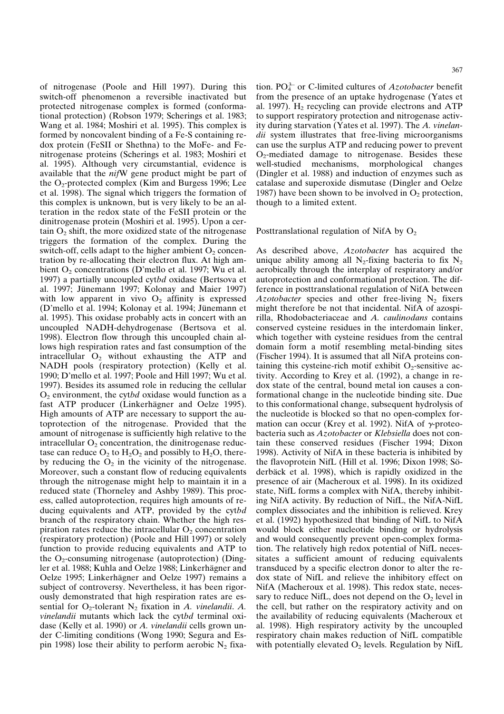367

of nitrogenase (Poole and Hill 1997). During this switch-off phenomenon a reversible inactivated but protected nitrogenase complex is formed (conformational protection) (Robson 1979; Scherings et al. 1983; Wang et al. 1984; Moshiri et al. 1995). This complex is formed by noncovalent binding of a Fe-S containing redox protein (FeSII or Shethna) to the MoFe- and Fenitrogenase proteins (Scherings et al. 1983; Moshiri et al. 1995). Although very circumstantial, evidence is available that the *nif*W gene product might be part of the  $O_2$ -protected complex (Kim and Burgess 1996; Lee et al. 1998). The signal which triggers the formation of this complex is unknown, but is very likely to be an alteration in the redox state of the FeSII protein or the dinitrogenase protein (Moshiri et al. 1995). Upon a certain  $O<sub>2</sub>$  shift, the more oxidized state of the nitrogenase triggers the formation of the complex. During the switch-off, cells adapt to the higher ambient  $O_2$  concentration by re-allocating their electron flux. At high ambient  $O_2$  concentrations (D'mello et al. 1997; Wu et al. 1997) a partially uncoupled cyt*bd* oxidase (Bertsova et al. 1997; Jünemann 1997; Kolonay and Maier 1997) with low apparent in vivo  $O_2$  affinity is expressed (D'mello et al. 1994; Kolonay et al. 1994; Jünemann et al. 1995). This oxidase probably acts in concert with an uncoupled NADH-dehydrogenase (Bertsova et al. 1998). Electron flow through this uncoupled chain allows high respiration rates and fast consumption of the intracellular  $O_2$  without exhausting the ATP and NADH pools (respiratory protection) (Kelly et al. 1990; D'mello et al. 1997; Poole and Hill 1997; Wu et al. 1997). Besides its assumed role in reducing the cellular O2 environment, the cyt*bd* oxidase would function as a fast ATP producer (Linkerhägner and Oelze 1995). High amounts of ATP are necessary to support the autoprotection of the nitrogenase. Provided that the amount of nitrogenase is sufficiently high relative to the intracellular  $O_2$  concentration, the dinitrogenase reductase can reduce  $O_2$  to  $H_2O_2$  and possibly to  $H_2O$ , thereby reducing the  $O_2$  in the vicinity of the nitrogenase. Moreover, such a constant flow of reducing equivalents through the nitrogenase might help to maintain it in a reduced state (Thorneley and Ashby 1989). This process, called autoprotection, requires high amounts of reducing equivalents and ATP, provided by the cyt*bd* branch of the respiratory chain. Whether the high respiration rates reduce the intracellular  $O_2$  concentration (respiratory protection) (Poole and Hill 1997) or solely function to provide reducing equivalents and ATP to the  $O_2$ -consuming nitrogenase (autoprotection) (Dingler et al. 1988; Kuhla and Oelze 1988; Linkerhägner and Oelze 1995; Linkerhägner and Oelze 1997) remains a subject of controversy. Nevertheless, it has been rigorously demonstrated that high respiration rates are essential for  $O_2$ -tolerant  $N_2$  fixation in *A. vinelandii. A. vinelandii* mutants which lack the cyt*bd* terminal oxidase (Kelly et al. 1990) or *A. vinelandii* cells grown under C-limiting conditions (Wong 1990; Segura and Espin 1998) lose their ability to perform aerobic  $N_2$  fixa-

tion. PO4 3– or C-limited cultures of *Azotobacter* benefit from the presence of an uptake hydrogenase (Yates et al. 1997).  $H_2$  recycling can provide electrons and ATP to support respiratory protection and nitrogenase activity during starvation (Yates et al. 1997). The *A. vinelandii* system illustrates that free-living microorganisms can use the surplus ATP and reducing power to prevent  $O<sub>2</sub>$ -mediated damage to nitrogenase. Besides these well-studied mechanisms, morphological changes (Dingler et al. 1988) and induction of enzymes such as catalase and superoxide dismutase (Dingler and Oelze 1987) have been shown to be involved in  $O_2$  protection, though to a limited extent.

Posttranslational regulation of NifA by  $O<sub>2</sub>$ 

As described above, *Azotobacter* has acquired the unique ability among all N<sub>2</sub>-fixing bacteria to fix  $N_2$ aerobically through the interplay of respiratory and/or autoprotection and conformational protection. The difference in posttranslational regulation of NifA between *Azotobacter* species and other free-living  $N_2$  fixers might therefore be not that incidental. NifA of azospirilla, Rhodobacteriaceae and *A. caulinodans* contains conserved cysteine residues in the interdomain linker, which together with cysteine residues from the central domain form a motif resembling metal-binding sites (Fischer 1994). It is assumed that all NifA proteins containing this cysteine-rich motif exhibit  $O_2$ -sensitive activity. According to Krey et al. (1992), a change in redox state of the central, bound metal ion causes a conformational change in the nucleotide binding site. Due to this conformational change, subsequent hydrolysis of the nucleotide is blocked so that no open-complex formation can occur (Krey et al. 1992). NifA of  $\gamma$ -proteobacteria such as *Azotobacter* or *Klebsiella* does not contain these conserved residues (Fischer 1994; Dixon 1998). Activity of NifA in these bacteria is inhibited by the flavoprotein NifL (Hill et al. 1996; Dixon 1998; Söderbäck et al. 1998), which is rapidly oxidized in the presence of air (Macheroux et al. 1998). In its oxidized state, NifL forms a complex with NifA, thereby inhibiting NifA activity. By reduction of NifL, the NifA-NifL complex dissociates and the inhibition is relieved. Krey et al. (1992) hypothesized that binding of NifL to NifA would block either nucleotide binding or hydrolysis and would consequently prevent open-complex formation. The relatively high redox potential of NifL necessitates a sufficient amount of reducing equivalents transduced by a specific electron donor to alter the redox state of NifL and relieve the inhibitory effect on NifA (Macheroux et al. 1998). This redox state, necessary to reduce NifL, does not depend on the  $O_2$  level in the cell, but rather on the respiratory activity and on the availability of reducing equivalents (Macheroux et al. 1998). High respiratory activity by the uncoupled respiratory chain makes reduction of NifL compatible with potentially elevated  $O_2$  levels. Regulation by NifL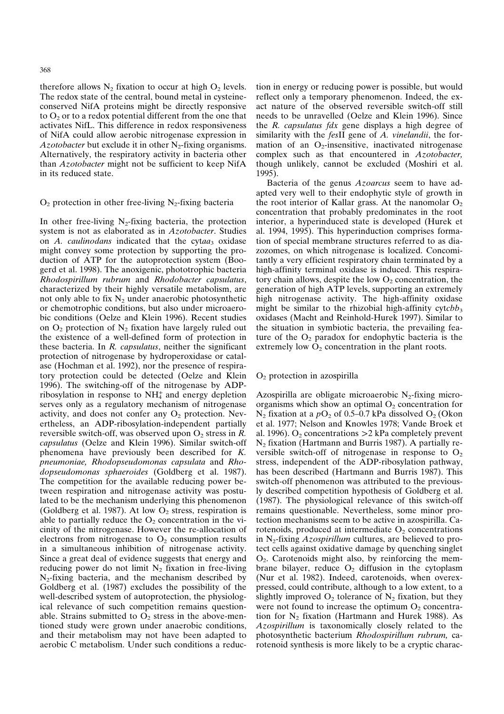therefore allows  $N_2$  fixation to occur at high  $O_2$  levels. The redox state of the central, bound metal in cysteineconserved NifA proteins might be directly responsive to  $O_2$  or to a redox potential different from the one that activates NifL. This difference in redox responsiveness of NifA could allow aerobic nitrogenase expression in *Azotobacter* but exclude it in other  $N_2$ -fixing organisms. Alternatively, the respiratory activity in bacteria other than *Azotobacter* might not be sufficient to keep NifA in its reduced state.

#### $O_2$  protection in other free-living N<sub>2</sub>-fixing bacteria

In other free-living  $N_2$ -fixing bacteria, the protection system is not as elaborated as in *Azotobacter*. Studies on *A. caulinodans* indicated that the cytaa<sub>3</sub> oxidase might convey some protection by supporting the production of ATP for the autoprotection system (Boogerd et al. 1998). The anoxigenic, phototrophic bacteria *Rhodospirillum rubrum* and *Rhodobacter capsulatus*, characterized by their highly versatile metabolism, are not only able to fix  $N_2$  under anaerobic photosynthetic or chemotrophic conditions, but also under microaerobic conditions (Oelze and Klein 1996). Recent studies on  $O_2$  protection of  $N_2$  fixation have largely ruled out the existence of a well-defined form of protection in these bacteria. In *R. capsulatus*, neither the significant protection of nitrogenase by hydroperoxidase or catalase (Hochman et al. 1992), nor the presence of respiratory protection could be detected (Oelze and Klein 1996). The switching-off of the nitrogenase by ADPribosylation in response to  $NH<sub>4</sub><sup>+</sup>$  and energy depletion serves only as a regulatory mechanism of nitrogenase activity, and does not confer any  $O_2$  protection. Nevertheless, an ADP-ribosylation-independent partially reversible switch-off, was observed upon  $O_2$  stress in *R*. *capsulatus* (Oelze and Klein 1996). Similar switch-off phenomena have previously been described for *K. pneumoniae, Rhodopseudomonas capsulata* and *Rhodopseudomonas sphaeroides* (Goldberg et al. 1987). The competition for the available reducing power between respiration and nitrogenase activity was postulated to be the mechanism underlying this phenomenon (Goldberg et al. 1987). At low  $O_2$  stress, respiration is able to partially reduce the  $O_2$  concentration in the vicinity of the nitrogenase. However the re-allocation of electrons from nitrogenase to  $O<sub>2</sub>$  consumption results in a simultaneous inhibition of nitrogenase activity. Since a great deal of evidence suggests that energy and reducing power do not limit  $N<sub>2</sub>$  fixation in free-living  $N_2$ -fixing bacteria, and the mechanism described by Goldberg et al. (1987) excludes the possibility of the well-described system of autoprotection, the physiological relevance of such competition remains questionable. Strains submitted to  $O<sub>2</sub>$  stress in the above-mentioned study were grown under anaerobic conditions, and their metabolism may not have been adapted to aerobic C metabolism. Under such conditions a reduction in energy or reducing power is possible, but would reflect only a temporary phenomenon. Indeed, the exact nature of the observed reversible switch-off still needs to be unravelled (Oelze and Klein 1996). Since the *R. capsulatus fdx* gene displays a high degree of similarity with the *fes*II gene of *A. vinelandii*, the formation of an  $O_2$ -insensitive, inactivated nitrogenase complex such as that encountered in *Azotobacter,* though unlikely, cannot be excluded (Moshiri et al. 1995).

Bacteria of the genus *Azoarcus* seem to have adapted very well to their endophytic style of growth in the root interior of Kallar grass. At the nanomolar  $O_2$ concentration that probably predominates in the root interior, a hyperinduced state is developed (Hurek et al. 1994, 1995). This hyperinduction comprises formation of special membrane structures referred to as diazozomes, on which nitrogenase is localized. Concomitantly a very efficient respiratory chain terminated by a high-affinity terminal oxidase is induced. This respiratory chain allows, despite the low  $O_2$  concentration, the generation of high ATP levels, supporting an extremely high nitrogenase activity. The high-affinity oxidase might be similar to the rhizobial high-affinity  $cytcbb<sub>3</sub>$ oxidases (Macht and Reinhold-Hurek 1997). Similar to the situation in symbiotic bacteria, the prevailing feature of the  $O_2$  paradox for endophytic bacteria is the extremely low  $\overline{O}_2$  concentration in the plant roots.

#### O2 protection in azospirilla

Azospirilla are obligate microaerobic  $N_2$ -fixing microorganisms which show an optimal  $O_2$  concentration for  $N_2$  fixation at a  $pO_2$  of 0.5–0.7 kPa dissolved  $O_2$  (Okon et al. 1977; Nelson and Knowles 1978; Vande Broek et al. 1996). O<sub>2</sub> concentrations  $>2$  kPa completely prevent  $N_2$  fixation (Hartmann and Burris 1987). A partially reversible switch-off of nitrogenase in response to  $O_2$ stress, independent of the ADP-ribosylation pathway, has been described (Hartmann and Burris 1987). This switch-off phenomenon was attributed to the previously described competition hypothesis of Goldberg et al. (1987). The physiological relevance of this switch-off remains questionable. Nevertheless, some minor protection mechanisms seem to be active in azospirilla. Carotenoids, produced at intermediate  $O_2$  concentrations in N2-fixing *Azospirillum* cultures, are believed to protect cells against oxidative damage by quenching singlet  $O<sub>2</sub>$ . Carotenoids might also, by reinforcing the membrane bilayer, reduce  $O<sub>2</sub>$  diffusion in the cytoplasm (Nur et al. 1982). Indeed, carotenoids, when overexpressed, could contribute, although to a low extent, to a slightly improved  $O_2$  tolerance of  $N_2$  fixation, but they were not found to increase the optimum  $O_2$  concentration for  $N_2$  fixation (Hartmann and Hurek 1988). As *Azospirillum* is taxonomically closely related to the photosynthetic bacterium *Rhodospirillum rubrum,* carotenoid synthesis is more likely to be a cryptic charac-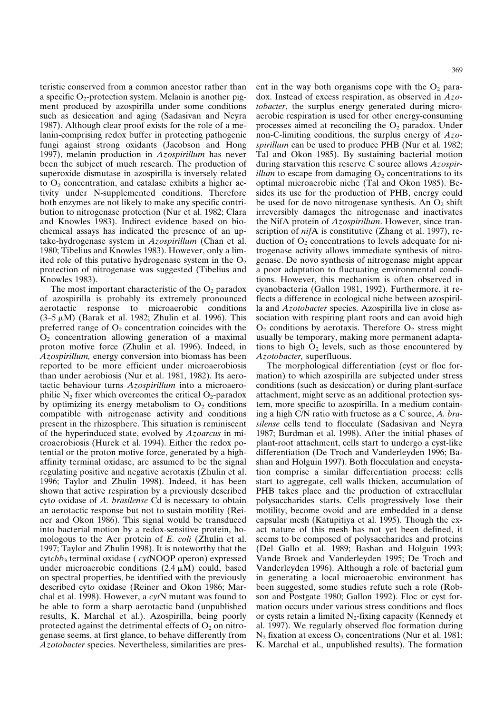teristic conserved from a common ancestor rather than a specific  $O_2$ -protection system. Melanin is another pigment produced by azospirilla under some conditions such as desiccation and aging (Sadasivan and Neyra 1987). Although clear proof exists for the role of a melanin-comprising redox buffer in protecting pathogenic fungi against strong oxidants (Jacobson and Hong 1997), melanin production in *Azospirillum* has never been the subject of much research. The production of superoxide dismutase in azospirilla is inversely related to  $O<sub>2</sub>$  concentration, and catalase exhibits a higher activity under N-supplemented conditions. Therefore both enzymes are not likely to make any specific contribution to nitrogenase protection (Nur et al. 1982; Clara and Knowles 1983). Indirect evidence based on biochemical assays has indicated the presence of an uptake-hydrogenase system in *Azospirillum* (Chan et al. 1980; Tibelius and Knowles 1983). However, only a limited role of this putative hydrogenase system in the  $O<sub>2</sub>$ protection of nitrogenase was suggested (Tibelius and Knowles 1983).

The most important characteristic of the  $O_2$  paradox of azospirilla is probably its extremely pronounced aerotactic response to microaerobic conditions  $(3-5 \mu M)$  (Barak et al. 1982; Zhulin et al. 1996). This preferred range of  $O<sub>2</sub>$  concentration coincides with the  $O<sub>2</sub>$  concentration allowing generation of a maximal proton motive force (Zhulin et al. 1996). Indeed, in *Azospirillum,* energy conversion into biomass has been reported to be more efficient under microaerobiosis than under aerobiosis (Nur et al. 1981, 1982). Its aerotactic behaviour turns *Azospirillum* into a microaerophilic  $N_2$  fixer which overcomes the critical  $O_2$ -paradox by optimizing its energy metabolism to  $O<sub>2</sub>$  conditions compatible with nitrogenase activity and conditions present in the rhizosphere. This situation is reminiscent of the hyperinduced state, evolved by *Azoarcus* in microaerobiosis (Hurek et al. 1994). Either the redox potential or the proton motive force, generated by a highaffinity terminal oxidase, are assumed to be the signal regulating positive and negative aerotaxis (Zhulin et al. 1996; Taylor and Zhulin 1998). Indeed, it has been shown that active respiration by a previously described cyt*o* oxidase of *A. brasilense* Cd is necessary to obtain an aerotactic response but not to sustain motility (Reiner and Okon 1986). This signal would be transduced into bacterial motion by a redox-sensitive protein, homologous to the Aer protein of *E. coli* (Zhulin et al. 1997; Taylor and Zhulin 1998). It is noteworthy that the cyt*cbb*3 terminal oxidase ( *cyt*NOQP operon) expressed under microaerobic conditions  $(2.4 \mu M)$  could, based on spectral properties, be identified with the previously described cyt*o* oxidase (Reiner and Okon 1986; Marchal et al. 1998). However, a *cyt*N mutant was found to be able to form a sharp aerotactic band (unpublished results, K. Marchal et al.). Azospirilla, being poorly protected against the detrimental effects of  $O<sub>2</sub>$  on nitrogenase seems, at first glance, to behave differently from *Azotobacter* species. Nevertheless, similarities are present in the way both organisms cope with the  $O_2$  paradox. Instead of excess respiration, as observed in *Azotobacter*, the surplus energy generated during microaerobic respiration is used for other energy-consuming processes aimed at reconciling the  $O_2$  paradox. Under non-C-limiting conditions, the surplus energy of *Azospirillum* can be used to produce PHB (Nur et al. 1982; Tal and Okon 1985). By sustaining bacterial motion during starvation this reserve C source allows *Azospirillum* to escape from damaging  $O_2$  concentrations to its optimal microaerobic niche (Tal and Okon 1985). Besides its use for the production of PHB, energy could be used for de novo nitrogenase synthesis. An  $O_2$  shift irreversibly damages the nitrogenase and inactivates the NifA protein of *Azospirillum*. However, since transcription of *nif*A is constitutive (Zhang et al. 1997), reduction of  $O_2$  concentrations to levels adequate for nitrogenase activity allows immediate synthesis of nitrogenase. De novo synthesis of nitrogenase might appear a poor adaptation to fluctuating environmental conditions. However, this mechanism is often observed in cyanobacteria (Gallon 1981, 1992). Furthermore, it reflects a difference in ecological niche between azospirilla and *Azotobacter* species. Azospirilla live in close association with respiring plant roots and can avoid high  $O<sub>2</sub>$  conditions by aerotaxis. Therefore  $O<sub>2</sub>$  stress might usually be temporary, making more permanent adaptations to high  $O_2$  levels, such as those encountered by *Azotobacter,* superfluous.

The morphological differentiation (cyst or floc formation) to which azospirilla are subjected under stress conditions (such as desiccation) or during plant-surface attachment, might serve as an additional protection system, more specific to azospirilla. In a medium containing a high C/N ratio with fructose as a C source, *A. brasilense* cells tend to flocculate (Sadasivan and Neyra 1987; Burdman et al. 1998). After the initial phases of plant-root attachment, cells start to undergo a cyst-like differentiation (De Troch and Vanderleyden 1996; Bashan and Holguin 1997). Both flocculation and encystation comprise a similar differentiation process: cells start to aggregate, cell walls thicken, accumulation of PHB takes place and the production of extracellular polysaccharides starts. Cells progressively lose their motility, become ovoid and are embedded in a dense capsular mesh (Katupitiya et al. 1995). Though the exact nature of this mesh has not yet been defined, it seems to be composed of polysaccharides and proteins (Del Gallo et al. 1989; Bashan and Holguin 1993; Vande Broek and Vanderleyden 1995; De Troch and Vanderleyden 1996). Although a role of bacterial gum in generating a local microaerobic environment has been suggested, some studies refute such a role (Robson and Postgate 1980; Gallon 1992). Floc or cyst formation occurs under various stress conditions and flocs or cysts retain a limited  $N_2$ -fixing capacity (Kennedy et al. 1997). We regularly observed floc formation during  $N_2$  fixation at excess  $O_2$  concentrations (Nur et al. 1981; K. Marchal et al., unpublished results). The formation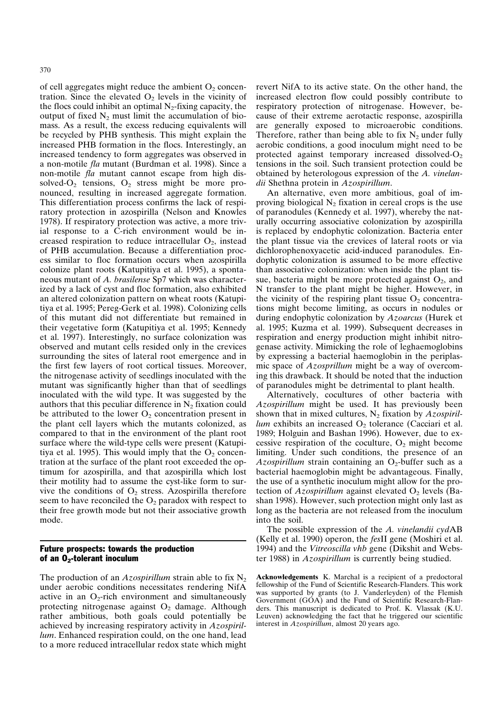of cell aggregates might reduce the ambient  $O_2$  concentration. Since the elevated  $O_2$  levels in the vicinity of the flocs could inhibit an optimal  $N_2$ -fixing capacity, the output of fixed  $N_2$  must limit the accumulation of biomass. As a result, the excess reducing equivalents will be recycled by PHB synthesis. This might explain the increased PHB formation in the flocs. Interestingly, an increased tendency to form aggregates was observed in a non-motile *fla* mutant (Burdman et al. 1998). Since a non-motile *fla* mutant cannot escape from high dissolved- $O_2$  tensions,  $O_2$  stress might be more pronounced, resulting in increased aggregate formation. This differentiation process confirms the lack of respiratory protection in azospirilla (Nelson and Knowles 1978). If respiratory protection was active, a more trivial response to a C-rich environment would be increased respiration to reduce intracellular  $O_2$ , instead of PHB accumulation. Because a differentiation process similar to floc formation occurs when azospirilla colonize plant roots (Katupitiya et al. 1995), a spontaneous mutant of *A. brasilense* Sp7 which was characterized by a lack of cyst and floc formation, also exhibited an altered colonization pattern on wheat roots (Katupitiya et al. 1995; Pereg-Gerk et al. 1998). Colonizing cells of this mutant did not differentiate but remained in their vegetative form (Katupitiya et al. 1995; Kennedy et al. 1997). Interestingly, no surface colonization was observed and mutant cells resided only in the crevices surrounding the sites of lateral root emergence and in the first few layers of root cortical tissues. Moreover, the nitrogenase activity of seedlings inoculated with the mutant was significantly higher than that of seedlings inoculated with the wild type. It was suggested by the authors that this peculiar difference in  $N_2$  fixation could be attributed to the lower  $O_2$  concentration present in the plant cell layers which the mutants colonized, as compared to that in the environment of the plant root surface where the wild-type cells were present (Katupitiya et al. 1995). This would imply that the  $O<sub>2</sub>$  concentration at the surface of the plant root exceeded the optimum for azospirilla, and that azospirilla which lost their motility had to assume the cyst-like form to survive the conditions of  $O_2$  stress. Azospirilla therefore seem to have reconciled the  $O_2$  paradox with respect to their free growth mode but not their associative growth mode.

## Future prospects: towards the production of an  $O_2$ -tolerant inoculum

The production of an *Azospirillum* strain able to fix  $N_2$ under aerobic conditions necessitates rendering NifA active in an  $O_2$ -rich environment and simultaneously protecting nitrogenase against  $O_2$  damage. Although rather ambitious, both goals could potentially be achieved by increasing respiratory activity in *Azospirillum*. Enhanced respiration could, on the one hand, lead to a more reduced intracellular redox state which might revert NifA to its active state. On the other hand, the increased electron flow could possibly contribute to respiratory protection of nitrogenase. However, because of their extreme aerotactic response, azospirilla are generally exposed to microaerobic conditions. Therefore, rather than being able to fix  $N_2$  under fully aerobic conditions, a good inoculum might need to be protected against temporary increased dissolved- $O<sub>2</sub>$ tensions in the soil. Such transient protection could be obtained by heterologous expression of the *A. vinelandii* Shethna protein in *Azospirillum*.

An alternative, even more ambitious, goal of improving biological  $N_2$  fixation in cereal crops is the use of paranodules (Kennedy et al. 1997), whereby the naturally occurring associative colonization by azospirilla is replaced by endophytic colonization. Bacteria enter the plant tissue via the crevices of lateral roots or via dichlorophenoxyacetic acid-induced paranodules. Endophytic colonization is assumed to be more effective than associative colonization: when inside the plant tissue, bacteria might be more protected against  $O_2$ , and N transfer to the plant might be higher. However, in the vicinity of the respiring plant tissue  $O_2$  concentrations might become limiting, as occurs in nodules or during endophytic colonization by *Azoarcus* (Hurek et al. 1995; Kuzma et al. 1999). Subsequent decreases in respiration and energy production might inhibit nitrogenase activity. Mimicking the role of leghaemoglobins by expressing a bacterial haemoglobin in the periplasmic space of *Azosprillum* might be a way of overcoming this drawback. It should be noted that the induction of paranodules might be detrimental to plant health.

Alternatively, cocultures of other bacteria with *Azospirillum* might be used. It has previously been shown that in mixed cultures, N<sub>2</sub> fixation by *Azospirillum* exhibits an increased  $O_2$  tolerance (Cacciari et al. 1989; Holguin and Bashan 1996). However, due to excessive respiration of the coculture,  $O_2$  might become limiting. Under such conditions, the presence of an *Azospirillum* strain containing an  $O_2$ -buffer such as a bacterial haemoglobin might be advantageous. Finally, the use of a synthetic inoculum might allow for the protection of  $Az$ *ospirillum* against elevated  $O<sub>2</sub>$  levels (Bashan 1998). However, such protection might only last as long as the bacteria are not released from the inoculum into the soil.

The possible expression of the *A. vinelandii cyd*AB (Kelly et al. 1990) operon, the *fes*II gene (Moshiri et al. 1994) and the *Vitreoscilla vhb* gene (Dikshit and Webster 1988) in *Azospirillum* is currently being studied.

**Acknowledgements** K. Marchal is a recipient of a predoctoral fellowship of the Fund of Scientific Research-Flanders. This work was supported by grants (to J. Vanderleyden) of the Flemish Government (GOA) and the Fund of Scientific Research-Flanders. This manuscript is dedicated to Prof. K. Vlassak (K.U. Leuven) acknowledging the fact that he triggered our scientific interest in *Azospirillum*, almost 20 years ago.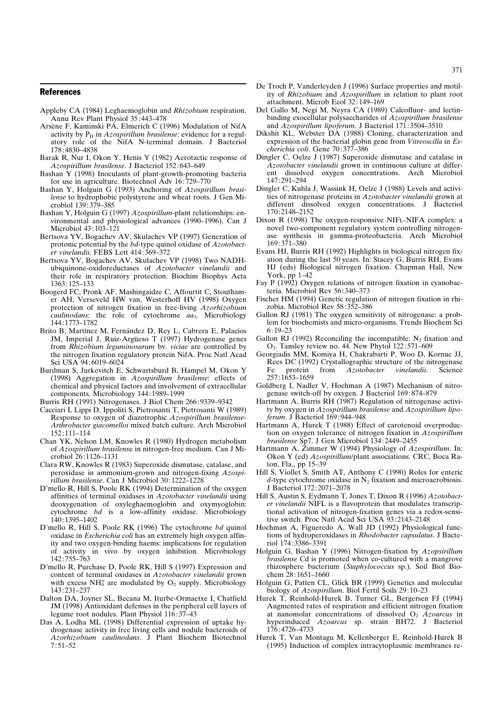- Appleby CA (1984) Leghaemoglobin and *Rhizobium* respiration. Annu Rev Plant Physiol 35:443–478
- Arsène F, Kaminski PA, Elmerich C (1996) Modulation of NifA activity by  $P_{II}$  in *Azospirillum brasilense*: evidence for a regulatory role of the NifA N-terminal domain. J Bacteriol 178:4830–4838
- Barak R, Nur I, Okon Y, Henis Y (1982) Aerotactic response of *Azospirillum brasilense*. J Bacteriol 152:643–649
- Bashan Y (1998) Inoculants of plant-growth-promoting bacteria for use in agriculture. Biotechnol Adv 16:729–770
- Bashan Y, Holguin G (1993) Anchoring of *Azospirillum brasilense* to hydrophobic polystyrene and wheat roots. J Gen Microbiol 139:379–385
- Bashan Y, Holguin G (1997) *Azospirillum*-plant relationships: environmental and physiological advances (1990–1996). Can J Microbiol 43:103–121
- Bertsova YV, Bogachev AV, Skulachev VP (1997) Generation of protonic potential by the *bd*-type quinol oxidase of *Azotobacter vinelandii*. FEBS Lett 414:369–372
- Bertsova YV, Bogachev AV, Skulachev VP (1998) Two NADHubiquinone-oxidoreductases of *Azotobacter vinelandii* and their role in respiratory protection. Biochim Biophys Acta 1363:125–133
- Boogerd FC, Pronk AF, Mashingaidze C, Affourtit C, Stouthamer AH, Verseveld HW van, Westerhoff HV (1998) Oxygen protection of nitrogen fixation in free-living *Azorhizobium caulinodans*: the role of cytochrome *aa*3. Microbiology 144:1773–1782
- Brito B, Martínez M, Fernández D, Rey L, Cabrera E, Palacios JM, Imperial J, Ruiz-Argüeso T (1997) Hydrogenase genes from *Rhizobium leguminosarum* bv. *viciae* are controlled by the nitrogen fixation regulatory protein NifA. Proc Natl Acad Sci USA 94:6019–6024
- Burdman S, Jurkevitch E, Schwartsburd B, Hampel M, Okon Y (1998) Aggregation in *Azospirillum brasilense*: effects of chemical and physical factors and involvement of extracellular components. Microbiology 144:1989–1999
- Burris RH (1991) Nitrogenases. J Biol Chem 266:9339–9342
- Cacciari I, Lippi D, Ippoliti S, Pietrosanti T, Pietrosanti W (1989) Response to oxygen of diazotrophic *Azospirillum brasilense-Arthrobacter giacomelloi* mixed batch culture. Arch Microbiol 152:111–114
- Chan YK, Nelson LM, Knowles R (1980) Hydrogen metabolism of *Azospirillum brasilens*e in nitrogen-free medium. Can J Microbiol 26:1126–1131
- Clara RW, Knowles R (1983) Superoxide dismutase, catalase, and peroxidase in ammonium-grown and nitrogen-fixing *Azospirillum brasilense*. Can J Microbiol 30:1222–1228
- D'mello R, Hill S, Poole RK (1994) Determination of the oxygen affinities of terminal oxidases in *Azotobacter vinelandii* using deoxygenation of oxyleghaemoglobin and oxymyoglobin: cytochrome *bd* is a low-affinity oxidase. Microbiology 140:1395–1402
- D'mello R, Hill S, Poole RK (1996) The cytochrome *bd* quinol oxidase in *Escherichia coli* has an extremely high oxygen affinity and two oxygen-binding haems: implications for regulation of activity in vivo by oxygen inhibition. Microbiology 142:755–763
- D'mello R, Purchase D, Poole RK, Hill S (1997) Expression and content of terminal oxidases in *Azotobacter vinelandii* grown with excess NH<sup>+</sup> are modulated by  $O_2$  supply. Microbiology 143:231–237
- Dalton DA, Joyner SL, Becana M, Iturbe-Ormaetxe I, Chatfield JM (1998) Antioxidant defenses in the peripheral cell layers of legume root nodules. Plant Physiol 116:37–43
- Das A, Lodha ML (1998) Differential expression of uptake hydrogenase activity in free living cells and nodule bacteroids of *Azorhizobium caulinodans*. J Plant Biochem Biotechnol 7:51–52
- De Troch P, Vanderleyden J (1996) Surface properties and motility of *Rhizobium* and *Azospirillum* in relation to plant root attachment. Microb Ecol 32:149–169
- Del Gallo M, Negi M, Neyra CA (1989) Calcofluor- and lectinbinding exocellular polysaccharides of *Azospirillum brasilense* and *Azospirillum lipoferum*. J Bacteriol 171:3504–3510
- Dikshit KL, Webster DA (1988) Cloning, characterization and expression of the bacterial globin gene from *Vitreoscilla* in *Escherichia coli*. Gene 70:377–386
- Dingler C, Oelze J (1987) Superoxide dismutase and catalase in *Azotobacter vinelandii* grown in continuous culture at different dissolved oxygen concentrations. Arch Microbiol 147:291–294
- Dingler C, Kuhla J, Wassink H, Oelze J (1988) Levels and activities of nitrogenase proteins in *Azotobacter vinelandii* grown at different dissolved oxygen concentrations. J Bacteriol 170:2148–2152
- Dixon R (1998) The oxygen-responsive NIFL-NIFA complex: a novel two-component regulatory system controlling nitrogenase synthesis in gamma-proteobacteria. Arch Microbiol 169:371–380
- Evans HJ, Burris RH (1992) Highlights in biological nitrogen fixation during the last 50 years. In: Stacey G, Burris RH, Evans HJ (eds) Biological nitrogen fixation. Chapman Hall, New York, pp 1–42
- Fay P (1992) Oxygen relations of nitrogen fixation in cyanobacteria. Microbiol Rev 56:340–373
- Fischer HM (1994) Genetic regulation of nitrogen fixation in rhizobia. Microbiol Rev 58:352–386
- Gallon RJ (1981) The oxygen sensitivity of nitrogenase: a problem for biochemists and micro-organisms. Trends Biochem Sci 6:19–23
- Gallon RJ (1992) Reconciling the incompatible:  $N_2$  fixation and O2. Tansley review no. 44. New Phytol 122:571–609
- Georgiadis MM, Komiya H, Chakrabarti P, Woo D, Kornuc JJ, Rees DC (1992) Crystallographic structure of the nitrogenase Fe protein from *Azotobacter vinelandii*. Science 257:1653–1659
- Goldberg I, Nadler V, Hochman A (1987) Mechanism of nitrogenase switch-off by oxygen. J Bacteriol 169:874–879
- Hartmann A, Burris RH (1987) Regulation of nitrogenase activity by oxygen in *Azospirillum brasilense* and *Azospirillum lipoferum*. J Bacteriol 169 :944–948
- Hartmann A, Hurek T (1988) Effect of carotenoid overproduction on oxygen tolerance of nitrogen fixation in *Azospirillum brasilense* Sp7. J Gen Microbiol 134:2449–2455
- Hartmann A, Zimmer W (1994) Physiology of *Azospirillum*. In: Okon Y (ed) *Azospirillum*/plant associations. CRC, Boca Raton, Fla., pp 15–39
- Hill S, Viollet S, Smith AT, Anthony C (1990) Roles for enteric  $d$ -type cytochrome oxidase in  $N_2$  fixation and microaerobiosis. J Bacteriol 172:2071–2078
- Hill S, Austin S, Eydmann T, Jones T, Dixon R (1996) *Azotobacter vinelandii* NIFL is a flavoprotein that modulates transcriptional activation of nitrogen-fixation genes via a redox-sensitive switch. Proc Natl Acad Sci USA 93:2143–2148
- Hochman A, Figueredo A, Wall JD (1992) Physiological functions of hydroperoxidases in *Rhodobacter capsulatus*. J Bacteriol 174:3386–3391
- Holguin G, Bashan Y (1996) Nitrogen-fixation by *Azopsirillum brasilense* Cd is promoted when co-cultured with a mangrove rhizosphere bacterium (*Staphylococcus* sp.). Soil Biol Biochem 28:1651–1660
- Holguin G, Patten CL, Glick BR (1999) Genetics and molecular biology of *Azospirillum*. Biol Fertil Soils 29:10–23
- Hurek T, Reinhold-Hurek B, Turner GL, Bergersen FJ (1994) Augmented rates of respiration and efficient nitrogen fixation at nanomolar concentrations of dissolved O2 *Azoarcus* in hyperinduced *Azoarcus* sp. strain BH72. J Bacteriol 176:4726–4733
- Hurek T, Van Montagu M, Kellenberger E, Reinhold-Hurek B (1995) Induction of complex intracytoplasmic membranes re-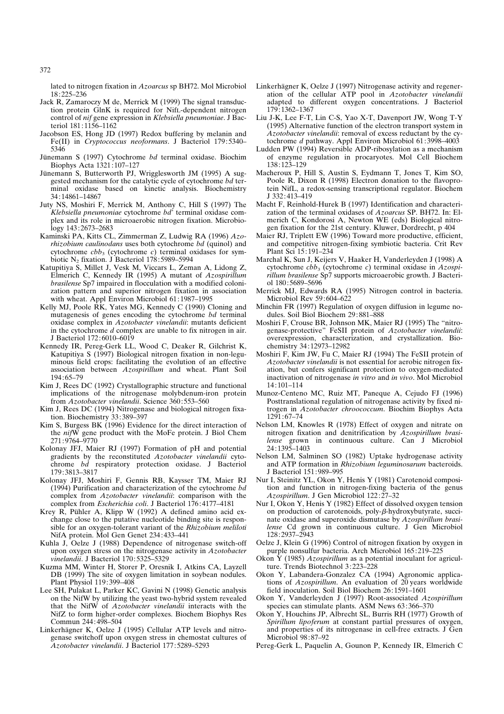lated to nitrogen fixation in *Azoarcus* sp BH72. Mol Microbiol 18:225–236

- Jack R, Zamaroczy M de, Merrick M (1999) The signal transduction protein GlnK is required for NifL-dependent nitrogen control of *nif* gene expression in *Klebsiella pneumoniae*. J Bacteriol 181:1156–1162
- Jacobson ES, Hong JD (1997) Redox buffering by melanin and Fe(II) in *Cryptococcus neoformans*. J Bacteriol 179:5340– 5346
- Jünemann S (1997) Cytochrome *bd* terminal oxidase. Biochim Biophys Acta 1321:107–127
- Jünemann S, Butterworth PJ, Wrigglesworth JM (1995) A suggested mechanism for the catalytic cycle of cytochrome *bd* terminal oxidase based on kinetic analysis. Biochemistry 34:14861–14867
- Juty NS, Moshiri F, Merrick M, Anthony C, Hill S (1997) The *Klebsiella pneumoniae* cytochrome *bd*' terminal oxidase complex and its role in microaerobic nitrogen fixation. Microbiology 143:2673–2683
- Kaminski PA, Kitts CL, Zimmerman Z, Ludwig RA (1996) *Azorhizobium caulinodans* uses both cytochrome *bd* (quinol) and cytochrome *cbb*3 (cytochrome *c*) terminal oxidases for symbiotic N2 fixation. J Bacteriol 178:5989–5994
- Katupitiya S, Millet J, Vesk M, Viccars L, Zeman A, Lidong Z, Elmerich C, Kennedy IR (1995) A mutant of *Azospirillum brasilense* Sp7 impaired in flocculation with a modified colonization pattern and superior nitrogen fixation in association with wheat. Appl Environ Microbiol 61:1987–1995
- Kelly MJ, Poole RK, Yates MG, Kennedy C (1990) Cloning and mutagenesis of genes encoding the cytochrome *bd* terminal oxidase complex in *Azotobacter vinelandii*: mutants deficient in the cytochrome *d* complex are unable to fix nitrogen in air. J Bacteriol 172:6010–6019
- Kennedy IR, Pereg-Gerk LL, Wood C, Deaker R, Gilchrist K, Katupitiya S (1997) Biological nitrogen fixation in non-leguminous field crops: facilitating the evolution of an effective association between *Azospirillum* and wheat. Plant Soil 194:65–79
- Kim J, Rees DC (1992) Crystallographic structure and functional implications of the nitrogenase molybdenum-iron protein from *Azotobacter vinelandii*. Science 360:553–560
- Kim J, Rees DC (1994) Nitrogenase and biological nitrogen fixation. Biochemistry 33:389–397
- Kim S, Burgess BK (1996) Evidence for the direct interaction of the *nif*W gene product with the MoFe protein. J Biol Chem 271:9764–9770
- Kolonay JFJ, Maier RJ (1997) Formation of pH and potential gradients by the reconstituted *Azotobacter vinelandii* cytochrome *bd* respiratory protection oxidase. J Bacteriol 179:3813–3817
- Kolonay JFJ, Moshiri F, Gennis RB, Kaysser TM, Maier RJ (1994) Purification and characterization of the cytochrome *bd* complex from *Azotobacter vinelandii*: comparison with the complex from *Escherichia coli*. J Bacteriol 176:4177–4181
- Krey R, Pühler A, Klipp W (1992) A defined amino acid exchange close to the putative nucleotide binding site is responsible for an oxygen-tolerant variant of the *Rhizobium meliloti* NifA protein. Mol Gen Genet 234:433–441
- Kuhla J, Oelze J (1988) Dependence of nitrogenase switch-off upon oxygen stress on the nitrogenase activity in *Azotobacter vinelandii*. J Bacteriol 170:5325–5329
- Kuzma MM, Winter H, Storer P, Oresnik I, Atkins CA, Layzell DB (1999) The site of oxygen limitation in soybean nodules. Plant Physiol 119:399–408
- Lee SH, Pulakat L, Parker KC, Gavini N (1998) Genetic analysis on the NifW by utilizing the yeast two-hybrid system revealed that the NifW of *Azotobacter vinelandii* interacts with the NifZ to form higher-order complexes. Biochem Biophys Res Commun 244:498–504
- Linkerhägner K, Oelze J (1995) Cellular ATP levels and nitrogenase switchoff upon oxygen stress in chemostat cultures of *Azotobacter vinelandii*. J Bacteriol 177 :5289–5293
- Linkerhägner K, Oelze J (1997) Nitrogenase activity and regeneration of the cellular ATP pool in *Azotobacter vinelandii* adapted to different oxygen concentrations. J Bacteriol 179:1362–1367
- Liu J-K, Lee F-T, Lin C-S, Yao X-T, Davenport JW, Wong T-Y (1995) Alternative function of the electron transport system in *Azotobacter vinelandii*: removal of excess reductant by the cytochrome *d* pathway. Appl Environ Microbiol 61:3998–4003
- Ludden PW (1994) Reversible ADP-ribosylation as a mechanism of enzyme regulation in procaryotes. Mol Cell Biochem 138:123–129
- Macheroux P, Hill S, Austin S, Eydmann T, Jones T, Kim SO, Poole R, Dixon R (1998) Electron donation to the flavoprotein NifL, a redox-sensing transcriptional regulator. Biochem J 332:413–419
- Macht F, Reinhold-Hurek B (1997) Identification and characterization of the terminal oxidases of *Azoarcus* SP. BH72. In: Elmerich C, Kondorosi A, Newton WE (eds) Biological nitrogen fixation for the 21st century. Kluwer, Dordrecht, p 404
- Maier RJ, Triplett EW (1996) Toward more productive, efficient, and competitive nitrogen-fixing symbiotic bacteria. Crit Rev Plant Sci 15:191–234
- Marchal K, Sun J, Keijers V, Haaker H, Vanderleyden J (1998) A cytochrome *cbb*3 (cytochrome *c*) terminal oxidase in *Azospirillum brasilense* Sp7 supports microaerobic growth. J Bacteriol 180:5689–5696
- Merrick MJ, Edwards RA (1995) Nitrogen control in bacteria. Microbiol Rev 59:604–622
- Minchin FR (1997) Regulation of oxygen diffusion in legume nodules. Soil Biol Biochem 29:881–888
- Moshiri F, Crouse BR, Johnson MK, Maier RJ (1995) The "nitrogenase-protective" FeSII protein of *Azotobacter vinelandii*: overexpression, characterization, and crystallization. Biochemistry 34:12973–12982
- Moshiri F, Kim JW, Fu C, Maier RJ (1994) The FeSII protein of *Azotobacter vinelandii* is not essential for aerobic nitrogen fixation, but confers significant protection to oxygen-mediated inactivation of nitrogenase *in vitro* and *in vivo*. Mol Microbiol 14:101–114
- Munoz-Centeno MC, Ruiz MT, Paneque A, Cejudo FJ (1996) Posttranslational regulation of nitrogenase activity by fixed nitrogen in *Azotobacter chroococcum*. Biochim Biophys Acta 1291:67–74
- Nelson LM, Knowles R (1978) Effect of oxygen and nitrate on nitrogen fixation and denitrification by *Azospirillum brasilense* grown in continuous culture. Can J Microbiol 24:1395–1403
- Nelson LM, Salminen SO (1982) Uptake hydrogenase activity and ATP formation in *Rhizobium leguminosarum* bacteroids. J Bacteriol 151:989–995
- Nur I, Steinitz YL, Okon Y, Henis Y (1981) Carotenoid composition and function in nitrogen-fixing bacteria of the genus *Azospirillum*. J Gen Microbiol 122:27–32
- Nur I, Okon Y, Henis Y (1982) Effect of dissolved oxygen tension on production of carotenoids, poly- $\beta$ -hydroxybutyrate, succinate oxidase and superoxide dismutase by *Azospirillum brasilense* Cd grown in continuous culture. J Gen Microbiol 128:2937–2943
- Oelze J, Klein G (1996) Control of nitrogen fixation by oxygen in purple nonsulfur bacteria. Arch Microbiol 165:219–225
- Okon Y (1985) *Azospirillum* as a potential inoculant for agriculture. Trends Biotechnol 3:223–228
- Okon Y, Labandera-Gonzalez CA (1994) Agronomic applications of *Azospirillum*. An evaluation of 20 years worldwide field inoculation. Soil Biol Biochem 26:1591–1601
- Okon Y, Vanderleyden J (1997) Root-associated *Azospirillum* species can stimulate plants. ASM News 63:366–370
- Okon Y, Houchins JP, Albrecht SL, Burris RH (1977) Growth of *Spirillum lipoferum* at constant partial pressures of oxygen, and properties of its nitrogenase in cell-free extracts. J Gen Microbiol 98:87–92
- Pereg-Gerk L, Paquelin A, Gounon P, Kennedy IR, Elmerich C